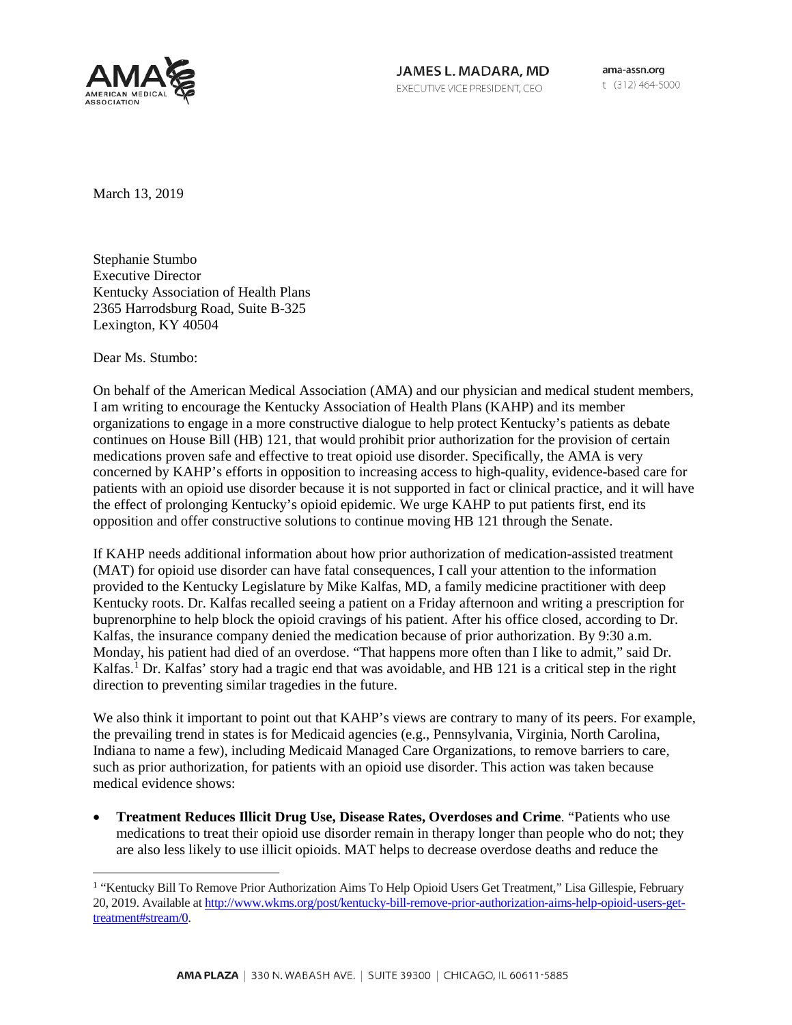

JAMES L. MADARA, MD EXECUTIVE VICE PRESIDENT, CEO

ama-assn.org t (312) 464-5000

March 13, 2019

Stephanie Stumbo Executive Director Kentucky Association of Health Plans 2365 Harrodsburg Road, Suite B-325 Lexington, KY 40504

Dear Ms. Stumbo:

On behalf of the American Medical Association (AMA) and our physician and medical student members, I am writing to encourage the Kentucky Association of Health Plans (KAHP) and its member organizations to engage in a more constructive dialogue to help protect Kentucky's patients as debate continues on House Bill (HB) 121, that would prohibit prior authorization for the provision of certain medications proven safe and effective to treat opioid use disorder. Specifically, the AMA is very concerned by KAHP's efforts in opposition to increasing access to high-quality, evidence-based care for patients with an opioid use disorder because it is not supported in fact or clinical practice, and it will have the effect of prolonging Kentucky's opioid epidemic. We urge KAHP to put patients first, end its opposition and offer constructive solutions to continue moving HB 121 through the Senate.

If KAHP needs additional information about how prior authorization of medication-assisted treatment (MAT) for opioid use disorder can have fatal consequences, I call your attention to the information provided to the Kentucky Legislature by Mike Kalfas, MD, a family medicine practitioner with deep Kentucky roots. Dr. Kalfas recalled seeing a patient on a Friday afternoon and writing a prescription for buprenorphine to help block the opioid cravings of his patient. After his office closed, according to Dr. Kalfas, the insurance company denied the medication because of prior authorization. By 9:30 a.m. Monday, his patient had died of an overdose. "That happens more often than I like to admit," said Dr. Kalfas.<sup>[1](#page-0-0)</sup> Dr. Kalfas' story had a tragic end that was avoidable, and HB 121 is a critical step in the right direction to preventing similar tragedies in the future.

We also think it important to point out that KAHP's views are contrary to many of its peers. For example, the prevailing trend in states is for Medicaid agencies (e.g., Pennsylvania, Virginia, North Carolina, Indiana to name a few), including Medicaid Managed Care Organizations, to remove barriers to care, such as prior authorization, for patients with an opioid use disorder. This action was taken because medical evidence shows:

• **Treatment Reduces Illicit Drug Use, Disease Rates, Overdoses and Crime**. "Patients who use medications to treat their opioid use disorder remain in therapy longer than people who do not; they are also less likely to use illicit opioids. MAT helps to decrease overdose deaths and reduce the

<span id="page-0-0"></span> <sup>1</sup> "Kentucky Bill To Remove Prior Authorization Aims To Help Opioid Users Get Treatment," Lisa Gillespie, February 20, 2019. Available a[t http://www.wkms.org/post/kentucky-bill-remove-prior-authorization-aims-help-opioid-users-get](http://www.wkms.org/post/kentucky-bill-remove-prior-authorization-aims-help-opioid-users-get-treatment#stream/0)[treatment#stream/0.](http://www.wkms.org/post/kentucky-bill-remove-prior-authorization-aims-help-opioid-users-get-treatment#stream/0)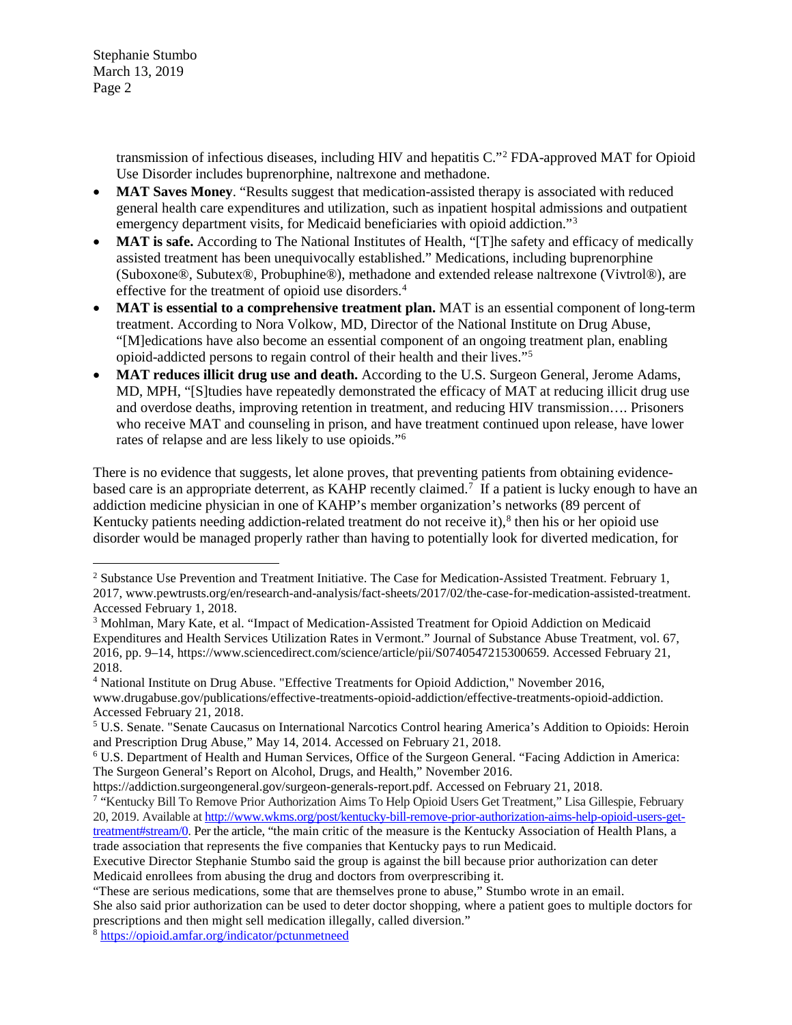Stephanie Stumbo March 13, 2019 Page 2

> transmission of infectious diseases, including HIV and hepatitis C."[2](#page-1-0) FDA-approved MAT for Opioid Use Disorder includes buprenorphine, naltrexone and methadone.

- **MAT Saves Money.** "Results suggest that medication-assisted therapy is associated with reduced general health care expenditures and utilization, such as inpatient hospital admissions and outpatient emergency department visits, for Medicaid beneficiaries with opioid addiction."[3](#page-1-1)
- **MAT is safe.** According to The National Institutes of Health, "[T]he safety and efficacy of medically assisted treatment has been unequivocally established." Medications, including buprenorphine (Suboxone®, Subutex®, Probuphine®), methadone and extended release naltrexone (Vivtrol®), are effective for the treatment of opioid use disorders.<sup>[4](#page-1-2)</sup>
- **MAT is essential to a comprehensive treatment plan.** MAT is an essential component of long-term treatment. According to Nora Volkow, MD, Director of the National Institute on Drug Abuse, "[M]edications have also become an essential component of an ongoing treatment plan, enabling opioid-addicted persons to regain control of their health and their lives.["5](#page-1-3)
- **MAT reduces illicit drug use and death.** According to the U.S. Surgeon General, Jerome Adams, MD, MPH, "[S]tudies have repeatedly demonstrated the efficacy of MAT at reducing illicit drug use and overdose deaths, improving retention in treatment, and reducing HIV transmission…. Prisoners who receive MAT and counseling in prison, and have treatment continued upon release, have lower rates of relapse and are less likely to use opioids.["6](#page-1-4)

There is no evidence that suggests, let alone proves, that preventing patients from obtaining evidence-based care is an appropriate deterrent, as KAHP recently claimed.<sup>[7](#page-1-5)</sup> If a patient is lucky enough to have an addiction medicine physician in one of KAHP's member organization's networks (89 percent of Kentucky patients needing addiction-related treatment do not receive it), $8$  then his or her opioid use disorder would be managed properly rather than having to potentially look for diverted medication, for

<span id="page-1-0"></span><sup>&</sup>lt;sup>2</sup> Substance Use Prevention and Treatment Initiative. The Case for Medication-Assisted Treatment. February 1, 2017, www.pewtrusts.org/en/research-and-analysis/fact-sheets/2017/02/the-case-for-medication-assisted-treatment. Accessed February 1, 2018.

<span id="page-1-1"></span><sup>3</sup> Mohlman, Mary Kate, et al. "Impact of Medication-Assisted Treatment for Opioid Addiction on Medicaid Expenditures and Health Services Utilization Rates in Vermont." Journal of Substance Abuse Treatment, vol. 67, 2016, pp. 9–14, https://www.sciencedirect.com/science/article/pii/S0740547215300659. Accessed February 21, 2018.

<span id="page-1-2"></span><sup>4</sup> National Institute on Drug Abuse. "Effective Treatments for Opioid Addiction," November 2016, www.drugabuse.gov/publications/effective-treatments-opioid-addiction/effective-treatments-opioid-addiction. Accessed February 21, 2018.

<span id="page-1-3"></span><sup>5</sup> U.S. Senate. "Senate Caucasus on International Narcotics Control hearing America's Addition to Opioids: Heroin and Prescription Drug Abuse," May 14, 2014. Accessed on February 21, 2018.

<span id="page-1-4"></span><sup>6</sup> U.S. Department of Health and Human Services, Office of the Surgeon General. "Facing Addiction in America: The Surgeon General's Report on Alcohol, Drugs, and Health," November 2016.

https://addiction.surgeongeneral.gov/surgeon-generals-report.pdf. Accessed on February 21, 2018.

<span id="page-1-5"></span><sup>7</sup> "Kentucky Bill To Remove Prior Authorization Aims To Help Opioid Users Get Treatment," Lisa Gillespie, February 20, 2019. Available a[t http://www.wkms.org/post/kentucky-bill-remove-prior-authorization-aims-help-opioid-users-get](http://www.wkms.org/post/kentucky-bill-remove-prior-authorization-aims-help-opioid-users-get-treatment#stream/0)[treatment#stream/0.](http://www.wkms.org/post/kentucky-bill-remove-prior-authorization-aims-help-opioid-users-get-treatment#stream/0) Per the article, "the main critic of the measure is the Kentucky Association of Health Plans, a trade association that represents the five companies that Kentucky pays to run Medicaid.

Executive Director Stephanie Stumbo said the group is against the bill because prior authorization can deter Medicaid enrollees from abusing the drug and doctors from overprescribing it.

<sup>&</sup>quot;These are serious medications, some that are themselves prone to abuse," Stumbo wrote in an email.

She also said prior authorization can be used to deter doctor shopping, where a patient goes to multiple doctors for prescriptions and then might sell medication illegally, called diversion."

<span id="page-1-6"></span><sup>8</sup> <https://opioid.amfar.org/indicator/pctunmetneed>